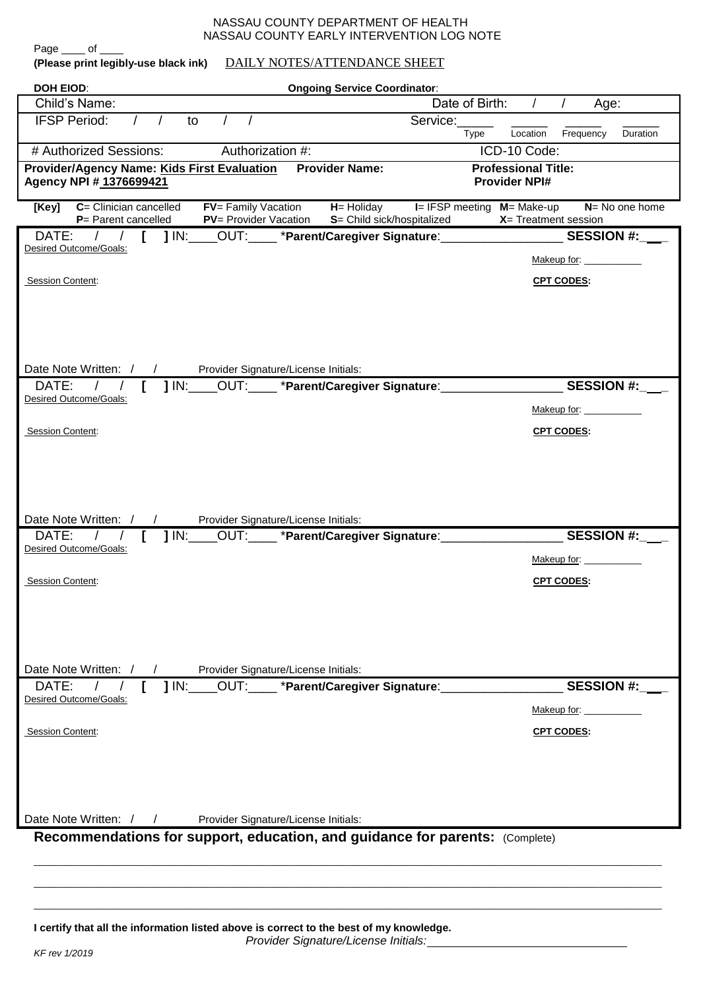## NASSAU COUNTY DEPARTMENT OF HEALTH NASSAU COUNTY EARLY INTERVENTION LOG NOTE

| DAILY NOTES/ATTENDANCE SHEET<br>(Please print legibly-use black ink)                                                                                                                |                                                                           |
|-------------------------------------------------------------------------------------------------------------------------------------------------------------------------------------|---------------------------------------------------------------------------|
| <b>DOH EIOD:</b><br><b>Ongoing Service Coordinator:</b>                                                                                                                             |                                                                           |
| Child's Name:                                                                                                                                                                       | Date of Birth:<br>$\prime$<br>$\sqrt{2}$<br>Age:                          |
| <b>IFSP Period:</b><br>to                                                                                                                                                           | Service:<br>Location<br>Frequency<br>Duration<br>Type                     |
| # Authorized Sessions:<br>Authorization #:                                                                                                                                          | ICD-10 Code:                                                              |
| <b>Provider Name:</b><br><b>Provider/Agency Name: Kids First Evaluation</b><br>Agency NPI # 1376699421                                                                              | <b>Professional Title:</b><br><b>Provider NPI#</b>                        |
| C= Clinician cancelled<br>$FV =$ Family Vacation $H =$ Holiday $I = IFSP$ meeting $M =$ Make-up<br>[Key]<br>PV= Provider Vacation S= Child sick/hospitalized<br>P= Parent cancelled | $N = No$ one home<br>$X = T$ reatment session                             |
| DATE:                                                                                                                                                                               | _OUT:_____ *Parent/Caregiver Signature:____________________<br>SESSION #: |
| Desired Outcome/Goals:                                                                                                                                                              | Makeup for: _____________                                                 |
| <b>Session Content:</b>                                                                                                                                                             | <b>CPT CODES:</b>                                                         |
|                                                                                                                                                                                     |                                                                           |
|                                                                                                                                                                                     |                                                                           |
|                                                                                                                                                                                     |                                                                           |
| Date Note Written: / /<br>Provider Signature/License Initials:                                                                                                                      |                                                                           |
| $1 \text{ IN:}$<br>DATE:                                                                                                                                                            | <b>SESSION #:</b>                                                         |
| Desired Outcome/Goals:                                                                                                                                                              | Makeup for: _______                                                       |
| Session Content:                                                                                                                                                                    | <b>CPT CODES:</b>                                                         |
|                                                                                                                                                                                     |                                                                           |
|                                                                                                                                                                                     |                                                                           |
|                                                                                                                                                                                     |                                                                           |
|                                                                                                                                                                                     |                                                                           |
| Date Note Written: / /<br>Provider Signature/License Initials:                                                                                                                      |                                                                           |
| $1 \text{ IN:}$<br>DATE:<br>$\sqrt{2}$<br>Desired Outcome/Goals:                                                                                                                    | SESSION #:                                                                |
|                                                                                                                                                                                     | Makeup for:                                                               |
| Session Content:                                                                                                                                                                    | <b>CPT CODES:</b>                                                         |
|                                                                                                                                                                                     |                                                                           |
|                                                                                                                                                                                     |                                                                           |
|                                                                                                                                                                                     |                                                                           |
|                                                                                                                                                                                     |                                                                           |
| Date Note Written: /<br>Provider Signature/License Initials:<br>$J/N$ :<br>OUT: *Parent/Caregiver Signature:<br>DATE:                                                               | <b>SESSION #:</b>                                                         |
| Desired Outcome/Goals:                                                                                                                                                              |                                                                           |
|                                                                                                                                                                                     | Makeup for:                                                               |
| Session Content:                                                                                                                                                                    | <b>CPT CODES:</b>                                                         |
|                                                                                                                                                                                     |                                                                           |
|                                                                                                                                                                                     |                                                                           |
|                                                                                                                                                                                     |                                                                           |
| Date Note Written: / /<br>Provider Signature/License Initials:                                                                                                                      |                                                                           |
| Recommendations for support, education, and guidance for parents: (Complete)                                                                                                        |                                                                           |
|                                                                                                                                                                                     |                                                                           |

**I certify that all the information listed above is correct to the best of my knowledge.**

*Provider Signature/License Initials:*

\_\_\_\_\_\_\_\_\_\_\_\_\_\_\_\_\_\_\_\_\_\_\_\_\_\_\_\_\_\_\_\_\_\_\_\_\_\_\_\_\_\_\_\_\_\_\_\_\_\_\_\_\_\_\_\_\_\_\_\_\_\_\_\_\_\_\_\_\_\_\_\_\_\_\_\_\_\_\_\_\_\_\_\_\_\_\_\_\_\_\_\_\_\_\_\_\_\_\_\_\_\_\_\_\_\_\_\_\_\_\_\_\_\_\_\_\_\_\_\_ \_\_\_\_\_\_\_\_\_\_\_\_\_\_\_\_\_\_\_\_\_\_\_\_\_\_\_\_\_\_\_\_\_\_\_\_\_\_\_\_\_\_\_\_\_\_\_\_\_\_\_\_\_\_\_\_\_\_\_\_\_\_\_\_\_\_\_\_\_\_\_\_\_\_\_\_\_\_\_\_\_\_\_\_\_\_\_\_\_\_\_\_\_\_\_\_\_\_\_\_\_\_\_\_\_\_\_\_\_\_\_\_\_\_\_\_\_\_\_\_

Page \_\_\_\_ of \_\_\_\_